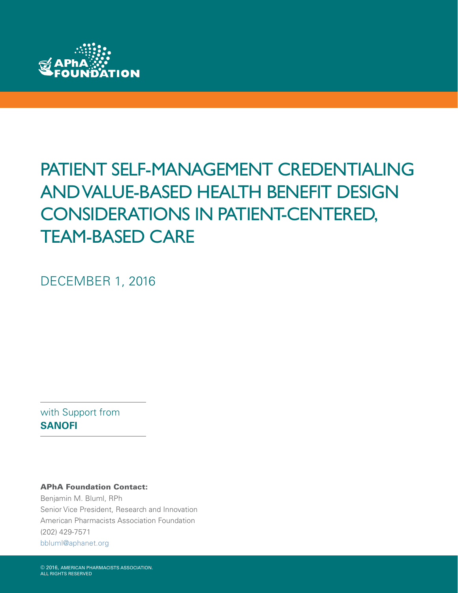

# PATIENT SELF-MANAGEMENT CREDENTIALING AND VALUE-BASED HEALTH BENEFIT DESIGN CONSIDERATIONS IN PATIENT-CENTERED, TEAM-BASED CARE

DECEMBER 1, 2016

with Support from **SANOFI**

#### APhA Foundation Contact:

Benjamin M. Bluml, RPh Senior Vice President, Research and Innovation American Pharmacists Association Foundation (202) 429-7571 [bbluml@aphanet.org](mailto:bbluml%40aphanet.org%20?subject=)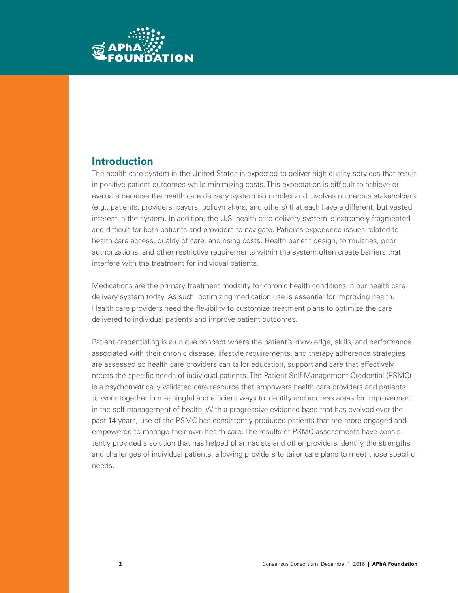

## **Introduction**

The health care system in the United States is expected to deliver high quality services that result in positive patient outcomes while minimizing costs. This expectation is difficult to achieve or evaluate because the health care delivery system is complex and involves numerous stakeholders (e.g., patients, providers, payors, policymakers, and others) that each have a different, but vested, interest in the system. In addition, the U.S. health care delivery system is extremely fragmented and difficult for both patients and providers to navigate. Patients experience issues related to health care access, quality of care, and rising costs. Health benefit design, formularies, prior authorizations, and other restrictive requirements within the system often create barriers that interfere with the treatment for individual patients.

Medications are the primary treatment modality for chronic health conditions in our health care delivery system today. As such, optimizing medication use is essential for improving health. Health care providers need the flexibility to customize treatment plans to optimize the care delivered to individual patients and improve patient outcomes.

Patient credentialing is a unique concept where the patient's knowledge, skills, and performance associated with their chronic disease, lifestyle requirements, and therapy adherence strategies are assessed so health care providers can tailor education, support and care that effectively meets the specific needs of individual patients. The Patient Self-Management Credential (PSMC) is a psychometrically validated care resource that empowers health care providers and patients to work together in meaningful and efficient ways to identify and address areas for improvement in the self-management of health. With a progressive evidence-base that has evolved over the past 14 years, use of the PSMC has consistently produced patients that are more engaged and empowered to manage their own health care. The results of PSMC assessments have consistently provided a solution that has helped pharmacists and other providers identify the strengths and challenges of individual patients, allowing providers to tailor care plans to meet those specific needs.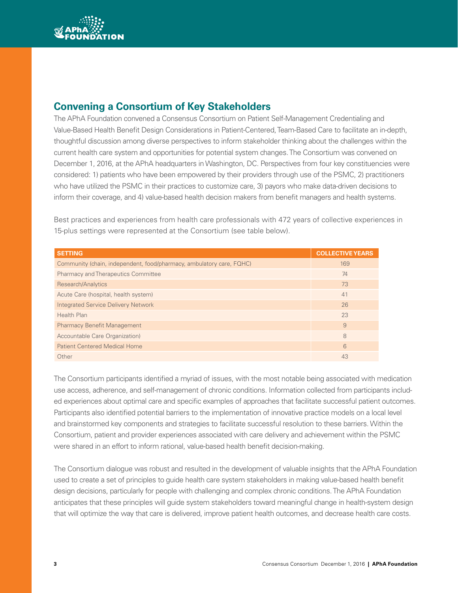

# **Convening a Consortium of Key Stakeholders**

The APhA Foundation convened a Consensus Consortium on Patient Self-Management Credentialing and Value-Based Health Benefit Design Considerations in Patient-Centered, Team-Based Care to facilitate an in-depth, thoughtful discussion among diverse perspectives to inform stakeholder thinking about the challenges within the current health care system and opportunities for potential system changes. The Consortium was convened on December 1, 2016, at the APhA headquarters in Washington, DC. Perspectives from four key constituencies were considered: 1) patients who have been empowered by their providers through use of the PSMC, 2) practitioners who have utilized the PSMC in their practices to customize care, 3) payors who make data-driven decisions to inform their coverage, and 4) value-based health decision makers from benefit managers and health systems.

Best practices and experiences from health care professionals with 472 years of collective experiences in 15-plus settings were represented at the Consortium (see table below).

| <b>SETTING</b>                                                       | <b>COLLECTIVE YEARS</b> |
|----------------------------------------------------------------------|-------------------------|
| Community (chain, independent, food/pharmacy, ambulatory care, FQHC) | 169                     |
| <b>Pharmacy and Therapeutics Committee</b>                           | 74                      |
| Research/Analytics                                                   | 73                      |
| Acute Care (hospital, health system)                                 | 41                      |
| <b>Integrated Service Delivery Network</b>                           | 26                      |
| <b>Health Plan</b>                                                   | 23                      |
| <b>Pharmacy Benefit Management</b>                                   | 9                       |
| Accountable Care Organization)                                       | 8                       |
| <b>Patient Centered Medical Home</b>                                 | 6                       |
| Other                                                                | 43                      |

The Consortium participants identified a myriad of issues, with the most notable being associated with medication use access, adherence, and self-management of chronic conditions. Information collected from participants included experiences about optimal care and specific examples of approaches that facilitate successful patient outcomes. Participants also identified potential barriers to the implementation of innovative practice models on a local level and brainstormed key components and strategies to facilitate successful resolution to these barriers. Within the Consortium, patient and provider experiences associated with care delivery and achievement within the PSMC were shared in an effort to inform rational, value-based health benefit decision-making.

The Consortium dialogue was robust and resulted in the development of valuable insights that the APhA Foundation used to create a set of principles to guide health care system stakeholders in making value-based health benefit design decisions, particularly for people with challenging and complex chronic conditions. The APhA Foundation anticipates that these principles will guide system stakeholders toward meaningful change in health-system design that will optimize the way that care is delivered, improve patient health outcomes, and decrease health care costs.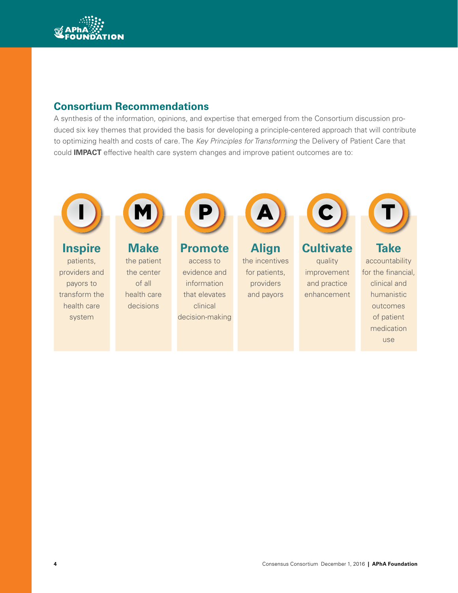

# **Consortium Recommendations**

A synthesis of the information, opinions, and expertise that emerged from the Consortium discussion produced six key themes that provided the basis for developing a principle-centered approach that will contribute to optimizing health and costs of care. The *Key Principles for Transforming* the Delivery of Patient Care that could **IMPACT** effective health care system changes and improve patient outcomes are to:



# **Inspire**

patients, providers and payors to transform the health care system



**Make**  the patient the center of all health care decisions



**Promote** access to evidence and information that elevates clinical decision-making



**Align** the incentives for patients, providers and payors



**Cultivate**  quality improvement and practice enhancement



**Take**  accountability for the financial, clinical and humanistic outcomes of patient medication use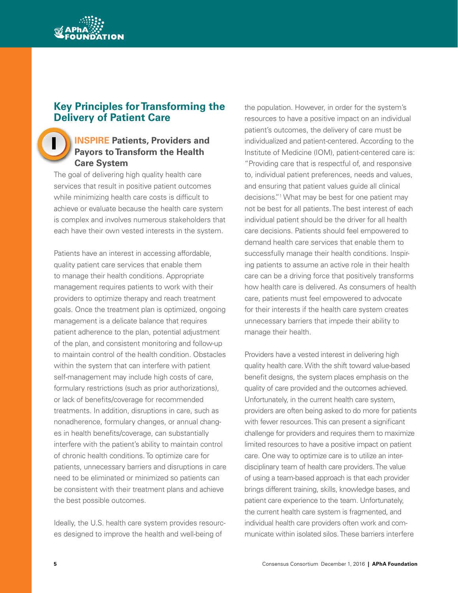

#### **Key Principles for Transforming the Delivery of Patient Care**

## **INSPIRE Patients, Providers and Payors to Transform the Health Care System**

The goal of delivering high quality health care services that result in positive patient outcomes while minimizing health care costs is difficult to achieve or evaluate because the health care system is complex and involves numerous stakeholders that each have their own vested interests in the system.

Patients have an interest in accessing affordable, quality patient care services that enable them to manage their health conditions. Appropriate management requires patients to work with their providers to optimize therapy and reach treatment goals. Once the treatment plan is optimized, ongoing management is a delicate balance that requires patient adherence to the plan, potential adjustment of the plan, and consistent monitoring and follow-up to maintain control of the health condition. Obstacles within the system that can interfere with patient self-management may include high costs of care, formulary restrictions (such as prior authorizations), or lack of benefits/coverage for recommended treatments. In addition, disruptions in care, such as nonadherence, formulary changes, or annual changes in health benefits/coverage, can substantially interfere with the patient's ability to maintain control of chronic health conditions. To optimize care for patients, unnecessary barriers and disruptions in care need to be eliminated or minimized so patients can be consistent with their treatment plans and achieve the best possible outcomes.

Ideally, the U.S. health care system provides resources designed to improve the health and well-being of

the population. However, in order for the system's resources to have a positive impact on an individual patient's outcomes, the delivery of care must be individualized and patient-centered. According to the Institute of Medicine (IOM), patient-centered care is: "Providing care that is respectful of, and responsive to, individual patient preferences, needs and values, and ensuring that patient values guide all clinical decisions."1 What may be best for one patient may not be best for all patients. The best interest of each individual patient should be the driver for all health care decisions. Patients should feel empowered to demand health care services that enable them to successfully manage their health conditions. Inspiring patients to assume an active role in their health care can be a driving force that positively transforms how health care is delivered. As consumers of health care, patients must feel empowered to advocate for their interests if the health care system creates unnecessary barriers that impede their ability to manage their health.

Providers have a vested interest in delivering high quality health care. With the shift toward value-based benefit designs, the system places emphasis on the quality of care provided and the outcomes achieved. Unfortunately, in the current health care system, providers are often being asked to do more for patients with fewer resources. This can present a significant challenge for providers and requires them to maximize limited resources to have a positive impact on patient care. One way to optimize care is to utilize an interdisciplinary team of health care providers. The value of using a team-based approach is that each provider brings different training, skills, knowledge bases, and patient care experience to the team. Unfortunately, the current health care system is fragmented, and individual health care providers often work and communicate within isolated silos. These barriers interfere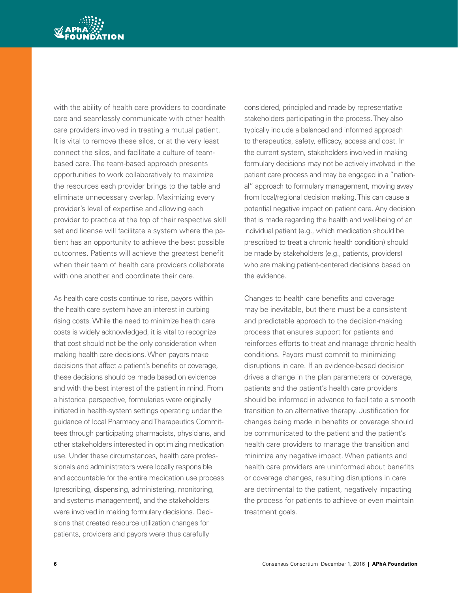

with the ability of health care providers to coordinate care and seamlessly communicate with other health care providers involved in treating a mutual patient. It is vital to remove these silos, or at the very least connect the silos, and facilitate a culture of teambased care. The team-based approach presents opportunities to work collaboratively to maximize the resources each provider brings to the table and eliminate unnecessary overlap. Maximizing every provider's level of expertise and allowing each provider to practice at the top of their respective skill set and license will facilitate a system where the patient has an opportunity to achieve the best possible outcomes. Patients will achieve the greatest benefit when their team of health care providers collaborate with one another and coordinate their care.

As health care costs continue to rise, payors within the health care system have an interest in curbing rising costs. While the need to minimize health care costs is widely acknowledged, it is vital to recognize that cost should not be the only consideration when making health care decisions. When payors make decisions that affect a patient's benefits or coverage, these decisions should be made based on evidence and with the best interest of the patient in mind. From a historical perspective, formularies were originally initiated in health-system settings operating under the guidance of local Pharmacy and Therapeutics Committees through participating pharmacists, physicians, and other stakeholders interested in optimizing medication use. Under these circumstances, health care professionals and administrators were locally responsible and accountable for the entire medication use process (prescribing, dispensing, administering, monitoring, and systems management), and the stakeholders were involved in making formulary decisions. Decisions that created resource utilization changes for patients, providers and payors were thus carefully

considered, principled and made by representative stakeholders participating in the process. They also typically include a balanced and informed approach to therapeutics, safety, efficacy, access and cost. In the current system, stakeholders involved in making formulary decisions may not be actively involved in the patient care process and may be engaged in a "national" approach to formulary management, moving away from local/regional decision making. This can cause a potential negative impact on patient care. Any decision that is made regarding the health and well-being of an individual patient (e.g., which medication should be prescribed to treat a chronic health condition) should be made by stakeholders (e.g., patients, providers) who are making patient-centered decisions based on the evidence.

Changes to health care benefits and coverage may be inevitable, but there must be a consistent and predictable approach to the decision-making process that ensures support for patients and reinforces efforts to treat and manage chronic health conditions. Payors must commit to minimizing disruptions in care. If an evidence-based decision drives a change in the plan parameters or coverage, patients and the patient's health care providers should be informed in advance to facilitate a smooth transition to an alternative therapy. Justification for changes being made in benefits or coverage should be communicated to the patient and the patient's health care providers to manage the transition and minimize any negative impact. When patients and health care providers are uninformed about benefits or coverage changes, resulting disruptions in care are detrimental to the patient, negatively impacting the process for patients to achieve or even maintain treatment goals.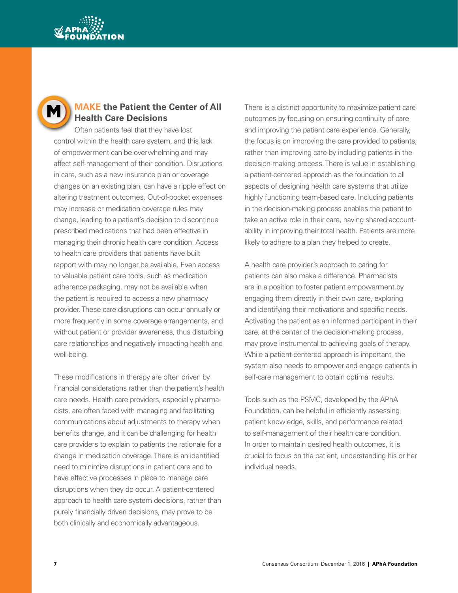



#### **MAKE the Patient the Center of All Health Care Decisions**

Often patients feel that they have lost control within the health care system, and this lack of empowerment can be overwhelming and may affect self-management of their condition. Disruptions in care, such as a new insurance plan or coverage changes on an existing plan, can have a ripple effect on altering treatment outcomes. Out-of-pocket expenses may increase or medication coverage rules may change, leading to a patient's decision to discontinue prescribed medications that had been effective in managing their chronic health care condition. Access to health care providers that patients have built rapport with may no longer be available. Even access to valuable patient care tools, such as medication adherence packaging, may not be available when the patient is required to access a new pharmacy provider. These care disruptions can occur annually or more frequently in some coverage arrangements, and without patient or provider awareness, thus disturbing care relationships and negatively impacting health and well-being.

These modifications in therapy are often driven by financial considerations rather than the patient's health care needs. Health care providers, especially pharmacists, are often faced with managing and facilitating communications about adjustments to therapy when benefits change, and it can be challenging for health care providers to explain to patients the rationale for a change in medication coverage. There is an identified need to minimize disruptions in patient care and to have effective processes in place to manage care disruptions when they do occur. A patient-centered approach to health care system decisions, rather than purely financially driven decisions, may prove to be both clinically and economically advantageous.

There is a distinct opportunity to maximize patient care outcomes by focusing on ensuring continuity of care and improving the patient care experience. Generally, the focus is on improving the care provided to patients, rather than improving care by including patients in the decision-making process. There is value in establishing a patient-centered approach as the foundation to all aspects of designing health care systems that utilize highly functioning team-based care. Including patients in the decision-making process enables the patient to take an active role in their care, having shared accountability in improving their total health. Patients are more likely to adhere to a plan they helped to create.

A health care provider's approach to caring for patients can also make a difference. Pharmacists are in a position to foster patient empowerment by engaging them directly in their own care, exploring and identifying their motivations and specific needs. Activating the patient as an informed participant in their care, at the center of the decision-making process, may prove instrumental to achieving goals of therapy. While a patient-centered approach is important, the system also needs to empower and engage patients in self-care management to obtain optimal results.

Tools such as the PSMC, developed by the APhA Foundation, can be helpful in efficiently assessing patient knowledge, skills, and performance related to self-management of their health care condition. In order to maintain desired health outcomes, it is crucial to focus on the patient, understanding his or her individual needs.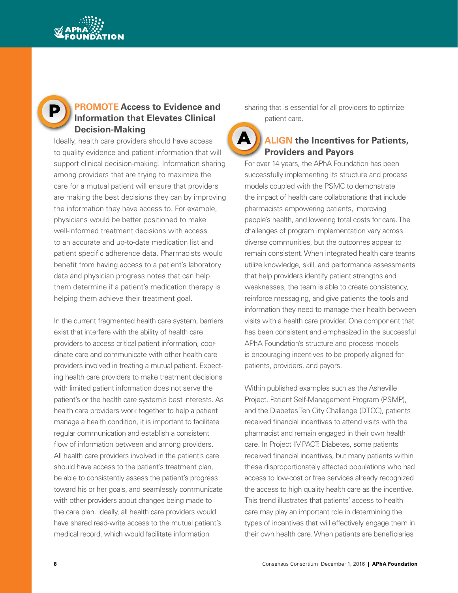



#### **PROMOTE Access to Evidence and Information that Elevates Clinical Decision-Making**

Ideally, health care providers should have access to quality evidence and patient information that will support clinical decision-making. Information sharing among providers that are trying to maximize the care for a mutual patient will ensure that providers are making the best decisions they can by improving the information they have access to. For example, physicians would be better positioned to make well-informed treatment decisions with access to an accurate and up-to-date medication list and patient specific adherence data. Pharmacists would benefit from having access to a patient's laboratory data and physician progress notes that can help them determine if a patient's medication therapy is helping them achieve their treatment goal.

In the current fragmented health care system, barriers exist that interfere with the ability of health care providers to access critical patient information, coordinate care and communicate with other health care providers involved in treating a mutual patient. Expecting health care providers to make treatment decisions with limited patient information does not serve the patient's or the health care system's best interests. As health care providers work together to help a patient manage a health condition, it is important to facilitate regular communication and establish a consistent flow of information between and among providers. All health care providers involved in the patient's care should have access to the patient's treatment plan, be able to consistently assess the patient's progress toward his or her goals, and seamlessly communicate with other providers about changes being made to the care plan. Ideally, all health care providers would have shared read-write access to the mutual patient's medical record, which would facilitate information

sharing that is essential for all providers to optimize patient care.

# **ALIGN the Incentives for Patients, Providers and Payors**

For over 14 years, the APhA Foundation has been successfully implementing its structure and process models coupled with the PSMC to demonstrate the impact of health care collaborations that include pharmacists empowering patients, improving people's health, and lowering total costs for care. The challenges of program implementation vary across diverse communities, but the outcomes appear to remain consistent. When integrated health care teams utilize knowledge, skill, and performance assessments that help providers identify patient strengths and weaknesses, the team is able to create consistency, reinforce messaging, and give patients the tools and information they need to manage their health between visits with a health care provider. One component that has been consistent and emphasized in the successful APhA Foundation's structure and process models is encouraging incentives to be properly aligned for patients, providers, and payors.

Within published examples such as the Asheville Project, Patient Self-Management Program (PSMP), and the Diabetes Ten City Challenge (DTCC), patients received financial incentives to attend visits with the pharmacist and remain engaged in their own health care. In Project IMPACT: Diabetes, some patients received financial incentives, but many patients within these disproportionately affected populations who had access to low-cost or free services already recognized the access to high quality health care as the incentive. This trend illustrates that patients' access to health care may play an important role in determining the types of incentives that will effectively engage them in their own health care. When patients are beneficiaries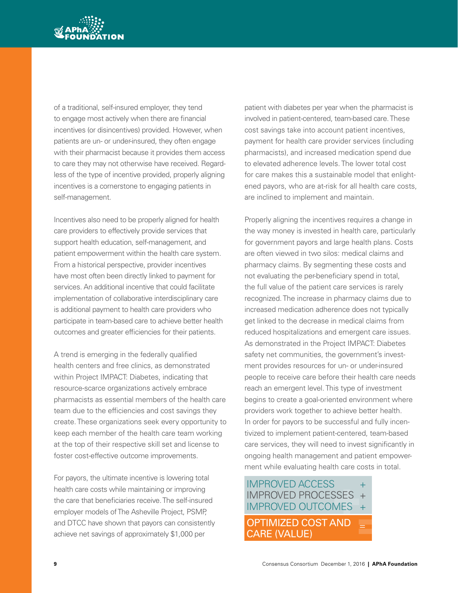

of a traditional, self-insured employer, they tend to engage most actively when there are financial incentives (or disincentives) provided. However, when patients are un- or under-insured, they often engage with their pharmacist because it provides them access to care they may not otherwise have received. Regardless of the type of incentive provided, properly aligning incentives is a cornerstone to engaging patients in self-management.

Incentives also need to be properly aligned for health care providers to effectively provide services that support health education, self-management, and patient empowerment within the health care system. From a historical perspective, provider incentives have most often been directly linked to payment for services. An additional incentive that could facilitate implementation of collaborative interdisciplinary care is additional payment to health care providers who participate in team-based care to achieve better health outcomes and greater efficiencies for their patients.

A trend is emerging in the federally qualified health centers and free clinics, as demonstrated within Project IMPACT: Diabetes, indicating that resource-scarce organizations actively embrace pharmacists as essential members of the health care team due to the efficiencies and cost savings they create. These organizations seek every opportunity to keep each member of the health care team working at the top of their respective skill set and license to foster cost-effective outcome improvements.

For payors, the ultimate incentive is lowering total health care costs while maintaining or improving the care that beneficiaries receive. The self-insured employer models of The Asheville Project, PSMP, and DTCC have shown that payors can consistently achieve net savings of approximately \$1,000 per

patient with diabetes per year when the pharmacist is involved in patient-centered, team-based care. These cost savings take into account patient incentives, payment for health care provider services (including pharmacists), and increased medication spend due to elevated adherence levels. The lower total cost for care makes this a sustainable model that enlightened payors, who are at-risk for all health care costs, are inclined to implement and maintain.

Properly aligning the incentives requires a change in the way money is invested in health care, particularly for government payors and large health plans. Costs are often viewed in two silos: medical claims and pharmacy claims. By segmenting these costs and not evaluating the per-beneficiary spend in total, the full value of the patient care services is rarely recognized. The increase in pharmacy claims due to increased medication adherence does not typically get linked to the decrease in medical claims from reduced hospitalizations and emergent care issues. As demonstrated in the Project IMPACT: Diabetes safety net communities, the government's investment provides resources for un- or under-insured people to receive care before their health care needs reach an emergent level. This type of investment begins to create a goal-oriented environment where providers work together to achieve better health. In order for payors to be successful and fully incentivized to implement patient-centered, team-based care services, they will need to invest significantly in ongoing health management and patient empowerment while evaluating health care costs in total.

#### IMPROVED ACCESSES + INTERVED FROM THE CONTROL TELEVISION OF THE CONTROL OF THE CONTROL OF THE CONTROL OF THE CONTROL OF THE CONTROL OF THE CONTROL OF THE CONTROL OF THE CONTROL OF THE CONTROL OF THE CONTROL OF THE CONTROL OF THE CONTROL OF TH IMPROVED ACCESS<br>
IMPROVED PROCESSES<br>
IMPROVED OUTCOMES<br>
OPTIMIZED COST AND  $IMPROVFD$   $ACCFSS$   $+$ IMPROVED OUTCOMES + OPTIMIZED COST AND IMPROVED OUTCOMES +<br>OPTIMIZED COST AND =<br>CARE (VALUE)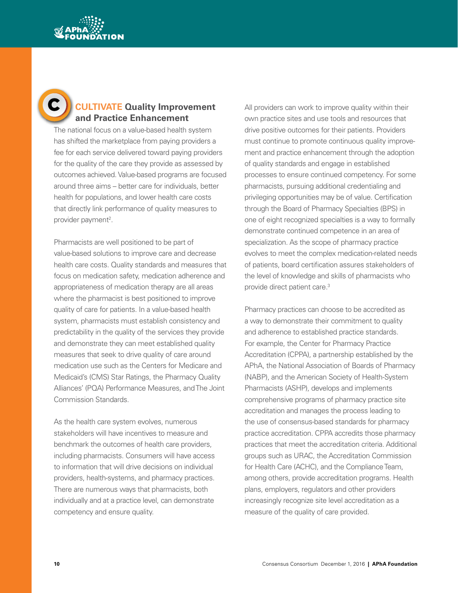



# **CULTIVATE Quality Improvement and Practice Enhancement**

The national focus on a value-based health system has shifted the marketplace from paying providers a fee for each service delivered toward paying providers for the quality of the care they provide as assessed by outcomes achieved. Value-based programs are focused around three aims – better care for individuals, better health for populations, and lower health care costs that directly link performance of quality measures to provider payment<sup>2</sup>.

Pharmacists are well positioned to be part of value-based solutions to improve care and decrease health care costs. Quality standards and measures that focus on medication safety, medication adherence and appropriateness of medication therapy are all areas where the pharmacist is best positioned to improve quality of care for patients. In a value-based health system, pharmacists must establish consistency and predictability in the quality of the services they provide and demonstrate they can meet established quality measures that seek to drive quality of care around medication use such as the Centers for Medicare and Medicaid's (CMS) Star Ratings, the Pharmacy Quality Alliances' (PQA) Performance Measures, and The Joint Commission Standards.

As the health care system evolves, numerous stakeholders will have incentives to measure and benchmark the outcomes of health care providers, including pharmacists. Consumers will have access to information that will drive decisions on individual providers, health-systems, and pharmacy practices. There are numerous ways that pharmacists, both individually and at a practice level, can demonstrate competency and ensure quality.

All providers can work to improve quality within their own practice sites and use tools and resources that drive positive outcomes for their patients. Providers must continue to promote continuous quality improvement and practice enhancement through the adoption of quality standards and engage in established processes to ensure continued competency. For some pharmacists, pursuing additional credentialing and privileging opportunities may be of value. Certification through the Board of Pharmacy Specialties (BPS) in one of eight recognized specialties is a way to formally demonstrate continued competence in an area of specialization. As the scope of pharmacy practice evolves to meet the complex medication‐related needs of patients, board certification assures stakeholders of the level of knowledge and skills of pharmacists who provide direct patient care.3

Pharmacy practices can choose to be accredited as a way to demonstrate their commitment to quality and adherence to established practice standards. For example, the Center for Pharmacy Practice Accreditation (CPPA), a partnership established by the APhA, the National Association of Boards of Pharmacy (NABP), and the American Society of Health-System Pharmacists (ASHP), develops and implements comprehensive programs of pharmacy practice site accreditation and manages the process leading to the use of consensus-based standards for pharmacy practice accreditation. CPPA accredits those pharmacy practices that meet the accreditation criteria. Additional groups such as URAC, the Accreditation Commission for Health Care (ACHC), and the Compliance Team, among others, provide accreditation programs. Health plans, employers, regulators and other providers increasingly recognize site level accreditation as a measure of the quality of care provided.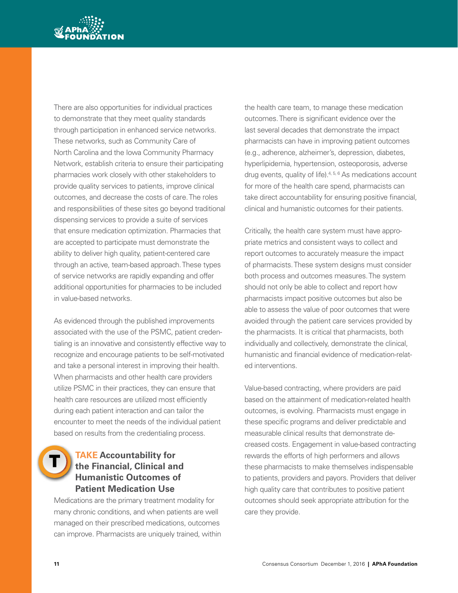

There are also opportunities for individual practices to demonstrate that they meet quality standards through participation in enhanced service networks. These networks, such as Community Care of North Carolina and the Iowa Community Pharmacy Network, establish criteria to ensure their participating pharmacies work closely with other stakeholders to provide quality services to patients, improve clinical outcomes, and decrease the costs of care. The roles and responsibilities of these sites go beyond traditional dispensing services to provide a suite of services that ensure medication optimization. Pharmacies that are accepted to participate must demonstrate the ability to deliver high quality, patient-centered care through an active, team-based approach. These types of service networks are rapidly expanding and offer additional opportunities for pharmacies to be included in value-based networks.

As evidenced through the published improvements associated with the use of the PSMC, patient credentialing is an innovative and consistently effective way to recognize and encourage patients to be self-motivated and take a personal interest in improving their health. When pharmacists and other health care providers utilize PSMC in their practices, they can ensure that health care resources are utilized most efficiently during each patient interaction and can tailor the encounter to meet the needs of the individual patient based on results from the credentialing process.

#### **TAKE Accountability for the Financial, Clinical and Humanistic Outcomes of Patient Medication Use**

Medications are the primary treatment modality for many chronic conditions, and when patients are well managed on their prescribed medications, outcomes can improve. Pharmacists are uniquely trained, within the health care team, to manage these medication outcomes. There is significant evidence over the last several decades that demonstrate the impact pharmacists can have in improving patient outcomes (e.g., adherence, alzheimer's, depression, diabetes, hyperlipidemia, hypertension, osteoporosis, adverse drug events, quality of life).<sup>4, 5, 6</sup> As medications account for more of the health care spend, pharmacists can take direct accountability for ensuring positive financial, clinical and humanistic outcomes for their patients.

Critically, the health care system must have appropriate metrics and consistent ways to collect and report outcomes to accurately measure the impact of pharmacists. These system designs must consider both process and outcomes measures. The system should not only be able to collect and report how pharmacists impact positive outcomes but also be able to assess the value of poor outcomes that were avoided through the patient care services provided by the pharmacists. It is critical that pharmacists, both individually and collectively, demonstrate the clinical, humanistic and financial evidence of medication-related interventions.

Value-based contracting, where providers are paid based on the attainment of medication-related health outcomes, is evolving. Pharmacists must engage in these specific programs and deliver predictable and measurable clinical results that demonstrate decreased costs. Engagement in value-based contracting rewards the efforts of high performers and allows these pharmacists to make themselves indispensable to patients, providers and payors. Providers that deliver high quality care that contributes to positive patient outcomes should seek appropriate attribution for the care they provide.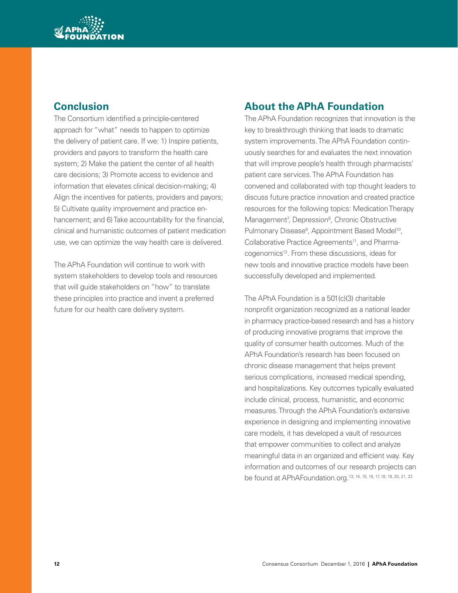

# **Conclusion**

The Consortium identified a principle-centered approach for "what" needs to happen to optimize the delivery of patient care. If we: 1) Inspire patients, providers and payors to transform the health care system; 2) Make the patient the center of all health care decisions; 3) Promote access to evidence and information that elevates clinical decision-making; 4) Align the incentives for patients, providers and payors; 5) Cultivate quality improvement and practice enhancement; and 6) Take accountability for the financial, clinical and humanistic outcomes of patient medication use, we can optimize the way health care is delivered.

The APhA Foundation will continue to work with system stakeholders to develop tools and resources that will guide stakeholders on "how" to translate these principles into practice and invent a preferred future for our health care delivery system.

# **About the APhA Foundation**

The APhA Foundation recognizes that innovation is the key to breakthrough thinking that leads to dramatic system improvements. The APhA Foundation continuously searches for and evaluates the next innovation that will improve people's health through pharmacists' patient care services. The APhA Foundation has convened and collaborated with top thought leaders to discuss future practice innovation and created practice resources for the following topics: Medication Therapy Management<sup>7</sup>, Depression<sup>8</sup>, Chronic Obstructive Pulmonary Disease<sup>9</sup>, Appointment Based Model<sup>10</sup>, Collaborative Practice Agreements<sup>11</sup>, and Pharmacogenomics<sup>12</sup>. From these discussions, ideas for new tools and innovative practice models have been successfully developed and implemented.

The APhA Foundation is a 501(c)(3) charitable nonprofit organization recognized as a national leader in pharmacy practice-based research and has a history of producing innovative programs that improve the quality of consumer health outcomes. Much of the APhA Foundation's research has been focused on chronic disease management that helps prevent serious complications, increased medical spending, and hospitalizations. Key outcomes typically evaluated include clinical, process, humanistic, and economic measures. Through the APhA Foundation's extensive experience in designing and implementing innovative care models, it has developed a vault of resources that empower communities to collect and analyze meaningful data in an organized and efficient way. Key information and outcomes of our research projects can be found at APhAFoundation.org.13, 14, 15, 16, 17, 18, 19, 20, 21, 22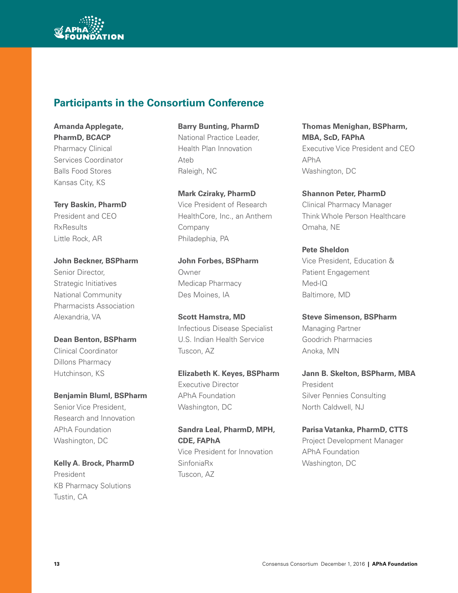

# **Participants in the Consortium Conference**

**Amanda Applegate, PharmD, BCACP** Pharmacy Clinical Services Coordinator Balls Food Stores Kansas City, KS

**Tery Baskin, PharmD** President and CEO **RxResults** Little Rock, AR

**John Beckner, BSPharm** Senior Director, Strategic Initiatives National Community Pharmacists Association Alexandria, VA

**Dean Benton, BSPharm** Clinical Coordinator Dillons Pharmacy Hutchinson, KS

**Benjamin Bluml, BSPharm** Senior Vice President, Research and Innovation APhA Foundation Washington, DC

**Kelly A. Brock, PharmD** President KB Pharmacy Solutions Tustin, CA

**Barry Bunting, PharmD** National Practice Leader, Health Plan Innovation Ateb Raleigh, NC

**Mark Cziraky, PharmD** Vice President of Research HealthCore, Inc., an Anthem Company Philadephia, PA

**John Forbes, BSPharm** Owner Medicap Pharmacy Des Moines, IA

**Scott Hamstra, MD** Infectious Disease Specialist U.S. Indian Health Service Tuscon, AZ

**Elizabeth K. Keyes, BSPharm** Executive Director APhA Foundation Washington, DC

**Sandra Leal, PharmD, MPH, CDE, FAPhA** Vice President for Innovation SinfoniaRx Tuscon, AZ

**Thomas Menighan, BSPharm, MBA, ScD, FAPhA** Executive Vice President and CEO APhA Washington, DC

**Shannon Peter, PharmD** Clinical Pharmacy Manager Think Whole Person Healthcare Omaha, NE

**Pete Sheldon** Vice President, Education & Patient Engagement Med-IQ Baltimore, MD

**Steve Simenson, BSPharm** Managing Partner Goodrich Pharmacies Anoka, MN

**Jann B. Skelton, BSPharm, MBA** President Silver Pennies Consulting North Caldwell, NJ

**Parisa Vatanka, PharmD, CTTS** Project Development Manager APhA Foundation Washington, DC